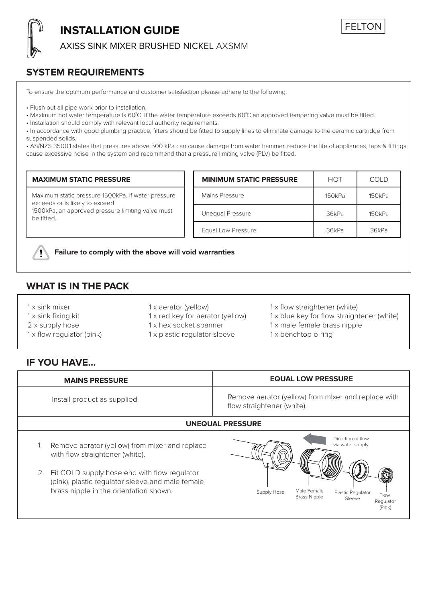

# **INSTALLATION GUIDE**

AXISS SINK MIXER BRUSHED NICKEL AXSMM

### **SYSTEM REQUIREMENTS**

To ensure the optimum performance and customer satisfaction please adhere to the following:

• Flush out all pipe work prior to installation.

- Maximum hot water temperature is 60˚C. If the water temperature exceeds 60˚C an approved tempering valve must be fitted.
- Installation should comply with relevant local authority requirements.

• In accordance with good plumbing practice, filters should be fitted to supply lines to eliminate damage to the ceramic cartridge from suspended solids.

• AS/NZS 3500.1 states that pressures above 500 kPa can cause damage from water hammer, reduce the life of appliances, taps & fittings, cause excessive noise in the system and recommend that a pressure limiting valve (PLV) be fitted.

| <b>MAXIMUM STATIC PRESSURE</b>                                                                                                                          | <b>MINIMUM STATIC PRESSURE</b> | <b>HOT</b> | COLD   |
|---------------------------------------------------------------------------------------------------------------------------------------------------------|--------------------------------|------------|--------|
| Maximum static pressure 1500kPa. If water pressure<br>exceeds or is likely to exceed<br>1500kPa, an approved pressure limiting valve must<br>be fitted. | Mains Pressure                 | 150kPa     | 150kPa |
|                                                                                                                                                         | Unequal Pressure               | 36kPa      | 150kPa |
|                                                                                                                                                         | Equal Low Pressure             | 36kPa      | 36kPa  |



**Failure to comply with the above will void warranties**

## **WHAT IS IN THE PACK**

| 1 x sink mixer                   | 1 x aerator (yellow)             | 1 x flow straightener (white)              |
|----------------------------------|----------------------------------|--------------------------------------------|
| 1 x sink fixing kit              | 1 x red key for aerator (yellow) | 1 x blue key for flow straightener (white) |
| 2 x supply hose                  | 1 x hex socket spanner           | 1 x male female brass nipple               |
| $1 \times$ flow regulator (pink) | 1 x plastic regulator sleeve     | 1 x benchtop o-ring                        |

### **IF YOU HAVE...**

| <b>MAINS PRESSURE</b>        | <b>EQUAL LOW PRESSURE</b>                                                         |
|------------------------------|-----------------------------------------------------------------------------------|
| Install product as supplied. | Remove aerator (yellow) from mixer and replace with<br>flow straightener (white). |

### **UNEQUAL PRESSURE**

- 1. Remove aerator (yellow) from mixer and replace with flow straightener (white).
- 2. Fit COLD supply hose end with flow regulator (pink), plastic regulator sleeve and male female brass nipple in the orientation shown.<br>Brass Nipple Supply Hose Male Female



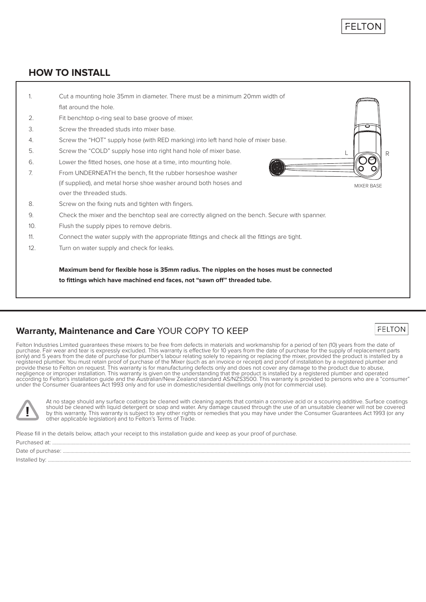**FELTOI** 

**FELTON** 

### **HOW TO INSTALL**



### **Warranty, Maintenance and Care** YOUR COPY TO KEEP

Felton Industries Limited guarantees these mixers to be free from defects in materials and workmanship for a period of ten (10) years from the date of purchase. Fair wear and tear is expressly excluded. This warranty is effective for 10 years from the date of purchase for the supply of replacement parts<br>(only) and 5 years from the date of purchase for plumber's labour re registered plumber. You must retain proof of purchase of the Mixer (such as an invoice or receipt) and proof of installation by a registered plumber and<br>provide these to Felton on request. This warranty is for manufacturin according to Felton's installation guide and the Australian/New Zealand standard AS/NZS3500. This warranty is provided to persons who are a "consumer" under the Consumer Guarantees Act 1993 only and for use in domestic/residential dwellings only (not for commercial use).



At no stage should any surface coatings be cleaned with cleaning agents that contain a corrosive acid or a scouring additive. Surface coatings should be cleaned with liquid detergent or soap and water. Any damage caused through the use of an unsuitable cleaner will not be covered<br>by this warranty. This warranty is subject to any other rights or remedies that you other applicable legislation) and to Felton's Terms of Trade.

Please fill in the details below, attach your receipt to this installation guide and keep as your proof of purchase.

Purchased at: .................................................................................................................................................................................................................................................................................... Date of purchase: ............................................................................................................................................................................................................................................................................ Installed by: